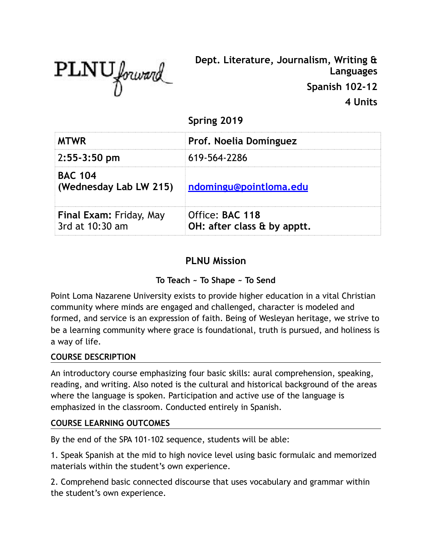

**Dept. Literature, Journalism, Writing & Languages Spanish 102-12 4 Units**

**Spring 2019**

| <b>MTWR</b>                                | Prof. Noelia Domínguez                         |  |
|--------------------------------------------|------------------------------------------------|--|
| 2:55-3:50 pm                               | 619-564-2286                                   |  |
| <b>BAC 104</b><br>(Wednesday Lab LW 215)   | ndomingu@pointloma.edu                         |  |
| Final Exam: Friday, May<br>3rd at 10:30 am | Office: BAC 118<br>OH: after class & by apptt. |  |

# **PLNU Mission**

## **To Teach ~ To Shape ~ To Send**

Point Loma Nazarene University exists to provide higher education in a vital Christian community where minds are engaged and challenged, character is modeled and formed, and service is an expression of faith. Being of Wesleyan heritage, we strive to be a learning community where grace is foundational, truth is pursued, and holiness is a way of life.

#### **COURSE DESCRIPTION**

An introductory course emphasizing four basic skills: aural comprehension, speaking, reading, and writing. Also noted is the cultural and historical background of the areas where the language is spoken. Participation and active use of the language is emphasized in the classroom. Conducted entirely in Spanish.

#### **COURSE LEARNING OUTCOMES**

By the end of the SPA 101-102 sequence, students will be able:

1. Speak Spanish at the mid to high novice level using basic formulaic and memorized materials within the student's own experience.

2. Comprehend basic connected discourse that uses vocabulary and grammar within the student's own experience.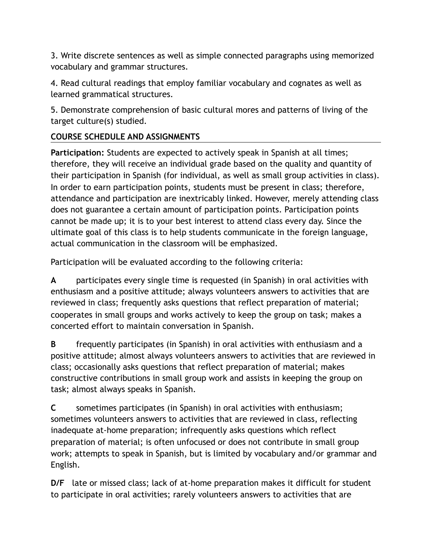3. Write discrete sentences as well as simple connected paragraphs using memorized vocabulary and grammar structures.

4. Read cultural readings that employ familiar vocabulary and cognates as well as learned grammatical structures.

5. Demonstrate comprehension of basic cultural mores and patterns of living of the target culture(s) studied.

### **COURSE SCHEDULE AND ASSIGNMENTS**

**Participation:** Students are expected to actively speak in Spanish at all times; therefore, they will receive an individual grade based on the quality and quantity of their participation in Spanish (for individual, as well as small group activities in class). In order to earn participation points, students must be present in class; therefore, attendance and participation are inextricably linked. However, merely attending class does not guarantee a certain amount of participation points. Participation points cannot be made up; it is to your best interest to attend class every day. Since the ultimate goal of this class is to help students communicate in the foreign language, actual communication in the classroom will be emphasized.

Participation will be evaluated according to the following criteria:

**A** participates every single time is requested (in Spanish) in oral activities with enthusiasm and a positive attitude; always volunteers answers to activities that are reviewed in class; frequently asks questions that reflect preparation of material; cooperates in small groups and works actively to keep the group on task; makes a concerted effort to maintain conversation in Spanish.

**B** frequently participates (in Spanish) in oral activities with enthusiasm and a positive attitude; almost always volunteers answers to activities that are reviewed in class; occasionally asks questions that reflect preparation of material; makes constructive contributions in small group work and assists in keeping the group on task; almost always speaks in Spanish.

**C** sometimes participates (in Spanish) in oral activities with enthusiasm; sometimes volunteers answers to activities that are reviewed in class, reflecting inadequate at-home preparation; infrequently asks questions which reflect preparation of material; is often unfocused or does not contribute in small group work; attempts to speak in Spanish, but is limited by vocabulary and/or grammar and English.

**D/F** late or missed class; lack of at-home preparation makes it difficult for student to participate in oral activities; rarely volunteers answers to activities that are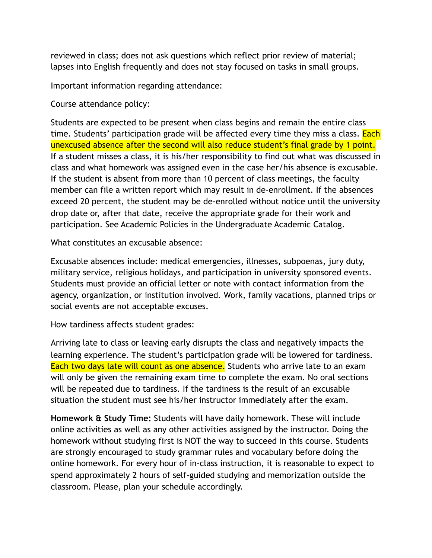reviewed in class; does not ask questions which reflect prior review of material; lapses into English frequently and does not stay focused on tasks in small groups.

Important information regarding attendance:

Course attendance policy:

Students are expected to be present when class begins and remain the entire class time. Students' participation grade will be affected every time they miss a class. Each unexcused absence after the second will also reduce student's final grade by 1 point. If a student misses a class, it is his/her responsibility to find out what was discussed in class and what homework was assigned even in the case her/his absence is excusable. If the student is absent from more than 10 percent of class meetings, the faculty member can file a written report which may result in de-enrollment. If the absences exceed 20 percent, the student may be de-enrolled without notice until the university drop date or, after that date, receive the appropriate grade for their work and participation. See Academic Policies in the Undergraduate Academic Catalog.

What constitutes an excusable absence:

Excusable absences include: medical emergencies, illnesses, subpoenas, jury duty, military service, religious holidays, and participation in university sponsored events. Students must provide an official letter or note with contact information from the agency, organization, or institution involved. Work, family vacations, planned trips or social events are not acceptable excuses.

How tardiness affects student grades:

Arriving late to class or leaving early disrupts the class and negatively impacts the learning experience. The student's participation grade will be lowered for tardiness. Each two days late will count as one absence. Students who arrive late to an exam will only be given the remaining exam time to complete the exam. No oral sections will be repeated due to tardiness. If the tardiness is the result of an excusable situation the student must see his/her instructor immediately after the exam.

**Homework & Study Time:** Students will have daily homework. These will include online activities as well as any other activities assigned by the instructor. Doing the homework without studying first is NOT the way to succeed in this course. Students are strongly encouraged to study grammar rules and vocabulary before doing the online homework. For every hour of in-class instruction, it is reasonable to expect to spend approximately 2 hours of self-guided studying and memorization outside the classroom. Please, plan your schedule accordingly.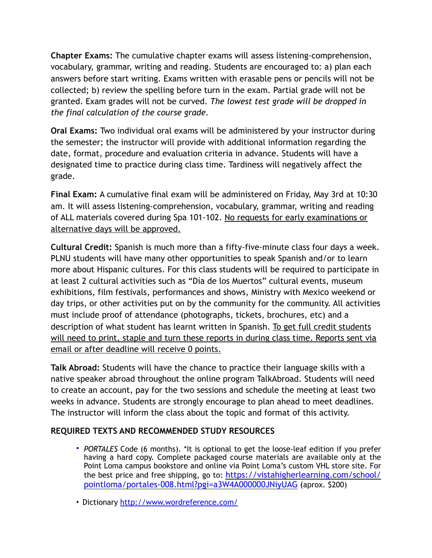**Chapter Exams:** The cumulative chapter exams will assess listening-comprehension, vocabulary, grammar, writing and reading. Students are encouraged to: a) plan each answers before start writing. Exams written with erasable pens or pencils will not be collected; b) review the spelling before turn in the exam. Partial grade will not be granted. Exam grades will not be curved. *The lowest test grade will be dropped in the final calculation of the course grade.* 

**Oral Exams:** Two individual oral exams will be administered by your instructor during the semester; the instructor will provide with additional information regarding the date, format, procedure and evaluation criteria in advance. Students will have a designated time to practice during class time. Tardiness will negatively affect the grade.

**Final Exam:** A cumulative final exam will be administered on Friday, May 3rd at 10:30 am. It will assess listening-comprehension, vocabulary, grammar, writing and reading of ALL materials covered during Spa 101-102. No requests for early examinations or alternative days will be approved.

**Cultural Credit:** Spanish is much more than a fifty-five-minute class four days a week. PLNU students will have many other opportunities to speak Spanish and/or to learn more about Hispanic cultures. For this class students will be required to participate in at least 2 cultural activities such as "Día de los Muertos" cultural events, museum exhibitions, film festivals, performances and shows, Ministry with Mexico weekend or day trips, or other activities put on by the community for the community. All activities must include proof of attendance (photographs, tickets, brochures, etc) and a description of what student has learnt written in Spanish. To get full credit students will need to print, staple and turn these reports in during class time. Reports sent via email or after deadline will receive 0 points.

**Talk Abroad:** Students will have the chance to practice their language skills with a native speaker abroad throughout the online program TalkAbroad. Students will need to create an account, pay for the two sessions and schedule the meeting at least two weeks in advance. Students are strongly encourage to plan ahead to meet deadlines. The instructor will inform the class about the topic and format of this activity.

#### **REQUIRED TEXTS AND RECOMMENDED STUDY RESOURCES**

- *PORTALES* Code (6 months). \*It is optional to get the loose-leaf edition if you prefer having a hard copy. Complete packaged course materials are available only at the Point Loma campus bookstore and online via Point Loma's custom VHL store site. For [the best price and free shipping, go to: https://vistahigherlearning.com/school/](https://vistahigherlearning.com/school/pointloma/portales-008.html?pgi=a3W4A000000JNiyUAG) [pointloma/portales-008.html?pgi=a3W4A000000JNiyUAG](https://vistahigherlearning.com/school/pointloma/portales-008.html?pgi=a3W4A000000JNiyUAG) (aprox. \$200)
- Dictionary <http://www.wordreference.com/>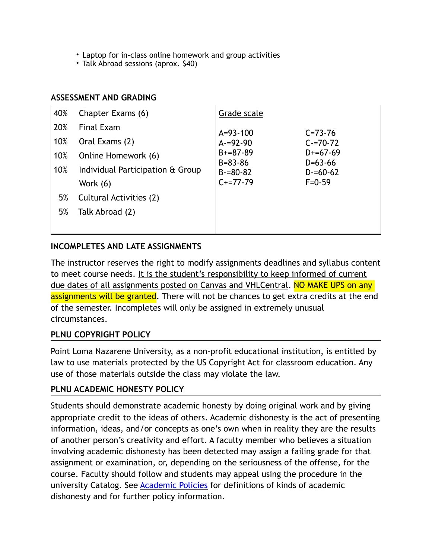- Laptop for in-class online homework and group activities
- Talk Abroad sessions (aprox. \$40)

#### **ASSESSMENT AND GRADING**

| 40% | Chapter Exams (6)                | Grade scale                 |                         |
|-----|----------------------------------|-----------------------------|-------------------------|
| 20% | <b>Final Exam</b>                | $A = 93 - 100$              | $C = 73 - 76$           |
| 10% | Oral Exams (2)                   | $A = 92 - 90$               | $C = 70 - 72$           |
| 10% | Online Homework (6)              | $B+=87-89$<br>$B = 83 - 86$ | $D+=67-69$<br>$D=63-66$ |
| 10% | Individual Participation & Group | $B = 80 - 82$               | $D = 60 - 62$           |
|     | Work $(6)$                       | $C+=77-79$                  | $F = 0.59$              |
| 5%  | Cultural Activities (2)          |                             |                         |
| 5%  | Talk Abroad (2)                  |                             |                         |
|     |                                  |                             |                         |

#### **INCOMPLETES AND LATE ASSIGNMENTS**

The instructor reserves the right to modify assignments deadlines and syllabus content to meet course needs. It is the student's responsibility to keep informed of current due dates of all assignments posted on Canvas and VHLCentral. NO MAKE UPS on any assignments will be granted. There will not be chances to get extra credits at the end of the semester. Incompletes will only be assigned in extremely unusual circumstances.

#### **PLNU COPYRIGHT POLICY**

Point Loma Nazarene University, as a non-profit educational institution, is entitled by law to use materials protected by the US Copyright Act for classroom education. Any use of those materials outside the class may violate the law.

#### **PLNU ACADEMIC HONESTY POLICY**

Students should demonstrate academic honesty by doing original work and by giving appropriate credit to the ideas of others. Academic dishonesty is the act of presenting information, ideas, and/or concepts as one's own when in reality they are the results of another person's creativity and effort. A faculty member who believes a situation involving academic dishonesty has been detected may assign a failing grade for that assignment or examination, or, depending on the seriousness of the offense, for the course. Faculty should follow and students may appeal using the procedure in the university Catalog. See **Academic Policies** for definitions of kinds of academic dishonesty and for further policy information.